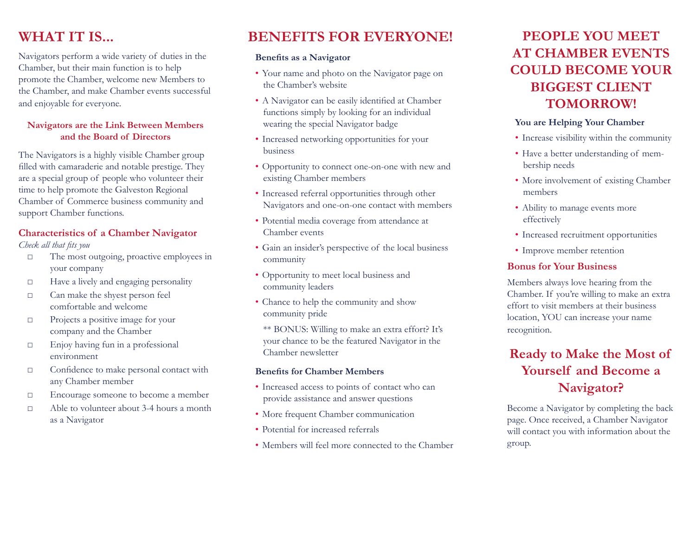# **WHAT IT IS...**

Navigators perform a wide variety of duties in the Chamber, but their main function is to help promote the Chamber, welcome new Members to the Chamber, and make Chamber events successful and enjoyable for everyone.

### **Navigators are the Link Between Members and the Board of Directors**

The Navigators is a highly visible Chamber group filled with camaraderie and notable prestige. They are a special group of people who volunteer their time to help promote the Galveston Regional Chamber of Commerce business community and support Chamber functions.

### **Characteristics of a Chamber Navigator**

*Check all that fits you*

- □ The most outgoing, proactive employees in your company
- □ Have a lively and engaging personality
- □ Can make the shyest person feel comfortable and welcome
- □ Projects a positive image for your company and the Chamber
- □ Enjoy having fun in a professional environment
- □ Confidence to make personal contact with any Chamber member
- □ Encourage someone to become a member
- □ Able to volunteer about 3-4 hours a month as a Navigator

# **BENEFITS FOR EVERYONE!**

#### **Benefits as a Navigator**

- • Your name and photo on the Navigator page on the Chamber's website
- • A Navigator can be easily identified at Chamber functions simply by looking for an individual wearing the special Navigator badge
- • Increased networking opportunities for your business
- • Opportunity to connect one-on-one with new and existing Chamber members
- • Increased referral opportunities through other Navigators and one-on-one contact with members
- • Potential media coverage from attendance at Chamber events
- • Gain an insider's perspective of the local business community
- • Opportunity to meet local business and community leaders
- • Chance to help the community and show community pride

\*\* BONUS: Willing to make an extra effort? It's your chance to be the featured Navigator in the Chamber newsletter

#### **Benefits for Chamber Members**

- • Increased access to points of contact who can provide assistance and answer questions
- • More frequent Chamber communication
- Potential for increased referrals
- Members will feel more connected to the Chamber

# **People you meet at Chamber events could become your biggest client tomorrow!**

### **You are Helping Your Chamber**

- Increase visibility within the community
- Have a better understanding of membership needs
- • More involvement of existing Chamber members
- Ability to manage events more effectively
- • Increased recruitment opportunities
- Improve member retention

### **Bonus for Your Business**

Members always love hearing from the Chamber. If you're willing to make an extra effort to visit members at their business location, YOU can increase your name recognition.

## **Ready to Make the Most of Yourself and Become a Navigator?**

Become a Navigator by completing the back page. Once received, a Chamber Navigator will contact you with information about the group.